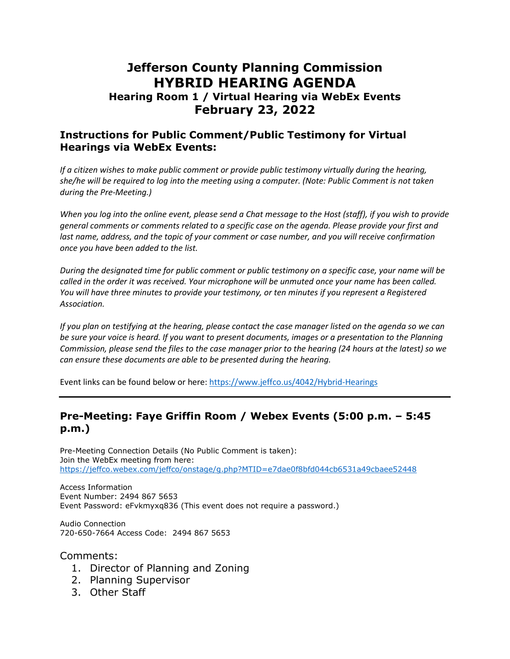# **Jefferson County Planning Commission HYBRID HEARING AGENDA**

### **Hearing Room 1 / Virtual Hearing via WebEx Events February 23, 2022**

#### **Instructions for Public Comment/Public Testimony for Virtual Hearings via WebEx Events:**

*If a citizen wishes to make public comment or provide public testimony virtually during the hearing, she/he will be required to log into the meeting using a computer. (Note: Public Comment is not taken during the Pre-Meeting.)*

*When you log into the online event, please send a Chat message to the Host (staff), if you wish to provide general comments or comments related to a specific case on the agenda. Please provide your first and*  last name, address, and the topic of your comment or case number, and you will receive confirmation *once you have been added to the list.*

*During the designated time for public comment or public testimony on a specific case, your name will be called in the order it was received. Your microphone will be unmuted once your name has been called. You will have three minutes to provide your testimony, or ten minutes if you represent a Registered Association.*

*If you plan on testifying at the hearing, please contact the case manager listed on the agenda so we can be sure your voice is heard. If you want to present documents, images or a presentation to the Planning Commission, please send the files to the case manager prior to the hearing (24 hours at the latest) so we can ensure these documents are able to be presented during the hearing.*

Event links can be found below or here:<https://www.jeffco.us/4042/Hybrid-Hearings>

#### **Pre-Meeting: Faye Griffin Room / Webex Events (5:00 p.m. – 5:45 p.m.)**

Pre-Meeting Connection Details (No Public Comment is taken): Join the WebEx meeting from here: <https://jeffco.webex.com/jeffco/onstage/g.php?MTID=e7dae0f8bfd044cb6531a49cbaee52448>

Access Information Event Number: 2494 867 5653 Event Password: eFvkmyxq836 (This event does not require a password.)

Audio Connection 720-650-7664 Access Code: 2494 867 5653

Comments:

- 1. Director of Planning and Zoning
- 2. Planning Supervisor
- 3. Other Staff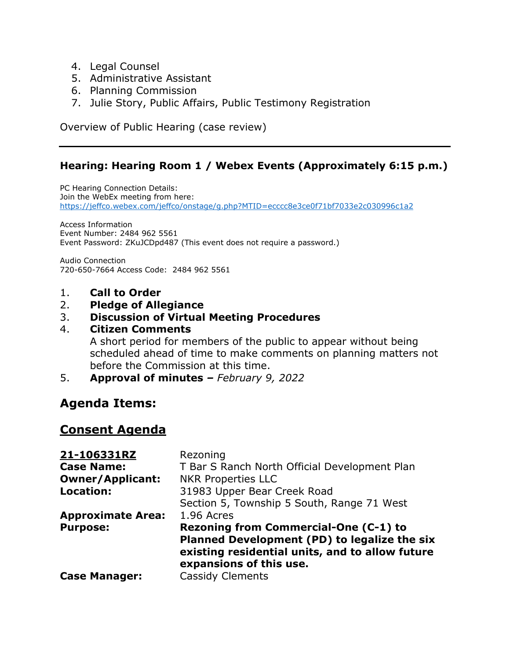- 4. Legal Counsel
- 5. Administrative Assistant
- 6. Planning Commission
- 7. Julie Story, Public Affairs, Public Testimony Registration

Overview of Public Hearing (case review)

#### **Hearing: Hearing Room 1 / Webex Events (Approximately 6:15 p.m.)**

PC Hearing Connection Details: Join the WebEx meeting from here: <https://jeffco.webex.com/jeffco/onstage/g.php?MTID=ecccc8e3ce0f71bf7033e2c030996c1a2>

Access Information Event Number: 2484 962 5561 Event Password: ZKuJCDpd487 (This event does not require a password.)

Audio Connection 720-650-7664 Access Code: 2484 962 5561

1. **Call to Order**

#### 2. **Pledge of Allegiance**

#### 3. **Discussion of Virtual Meeting Procedures**

#### 4. **Citizen Comments**

A short period for members of the public to appear without being scheduled ahead of time to make comments on planning matters not before the Commission at this time.

5. **Approval of minutes** *– February 9, 2022*

## **Agenda Items:**

### **Consent Agenda**

| 21-106331RZ              | Rezoning                                                                                                                                                            |
|--------------------------|---------------------------------------------------------------------------------------------------------------------------------------------------------------------|
| <b>Case Name:</b>        | T Bar S Ranch North Official Development Plan                                                                                                                       |
| <b>Owner/Applicant:</b>  | <b>NKR Properties LLC</b>                                                                                                                                           |
| <b>Location:</b>         | 31983 Upper Bear Creek Road                                                                                                                                         |
|                          | Section 5, Township 5 South, Range 71 West                                                                                                                          |
| <b>Approximate Area:</b> | 1.96 Acres                                                                                                                                                          |
| <b>Purpose:</b>          | Rezoning from Commercial-One (C-1) to<br>Planned Development (PD) to legalize the six<br>existing residential units, and to allow future<br>expansions of this use. |
| <b>Case Manager:</b>     | <b>Cassidy Clements</b>                                                                                                                                             |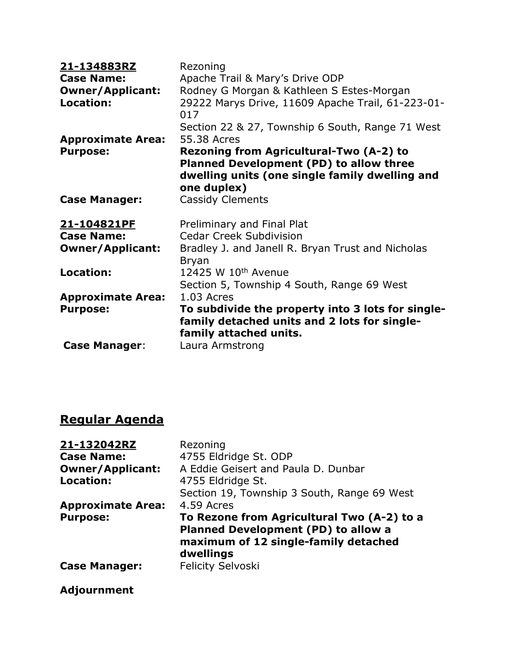| 21-134883RZ<br><b>Case Name:</b><br><b>Owner/Applicant:</b><br><b>Location:</b> | Rezoning<br>Apache Trail & Mary's Drive ODP<br>Rodney G Morgan & Kathleen S Estes-Morgan<br>29222 Marys Drive, 11609 Apache Trail, 61-223-01-                             |
|---------------------------------------------------------------------------------|---------------------------------------------------------------------------------------------------------------------------------------------------------------------------|
|                                                                                 | 017<br>Section 22 & 27, Township 6 South, Range 71 West                                                                                                                   |
| <b>Approximate Area:</b><br><b>Purpose:</b>                                     | 55.38 Acres<br>Rezoning from Agricultural-Two (A-2) to<br><b>Planned Development (PD) to allow three</b><br>dwelling units (one single family dwelling and<br>one duplex) |
| <b>Case Manager:</b>                                                            | <b>Cassidy Clements</b>                                                                                                                                                   |
| <u>21-104821PF</u><br><b>Case Name:</b><br><b>Owner/Applicant:</b>              | Preliminary and Final Plat<br><b>Cedar Creek Subdivision</b><br>Bradley J. and Janell R. Bryan Trust and Nicholas<br><b>Bryan</b>                                         |
| <b>Location:</b>                                                                | 12425 W 10th Avenue<br>Section 5, Township 4 South, Range 69 West                                                                                                         |
| <b>Approximate Area:</b>                                                        | 1.03 Acres                                                                                                                                                                |
| <b>Purpose:</b>                                                                 | To subdivide the property into 3 lots for single-<br>family detached units and 2 lots for single-<br>family attached units.                                               |
| <b>Case Manager:</b>                                                            | Laura Armstrong                                                                                                                                                           |

# **Regular Agenda**

| 21-132042RZ              | Rezoning                                                                                                                                      |
|--------------------------|-----------------------------------------------------------------------------------------------------------------------------------------------|
| <b>Case Name:</b>        | 4755 Eldridge St. ODP                                                                                                                         |
| <b>Owner/Applicant:</b>  | A Eddie Geisert and Paula D. Dunbar                                                                                                           |
| Location:                | 4755 Eldridge St.                                                                                                                             |
|                          | Section 19, Township 3 South, Range 69 West                                                                                                   |
| <b>Approximate Area:</b> | 4.59 Acres                                                                                                                                    |
| <b>Purpose:</b>          | To Rezone from Agricultural Two (A-2) to a<br><b>Planned Development (PD) to allow a</b><br>maximum of 12 single-family detached<br>dwellings |
| <b>Case Manager:</b>     | <b>Felicity Selvoski</b>                                                                                                                      |

## **Adjournment**